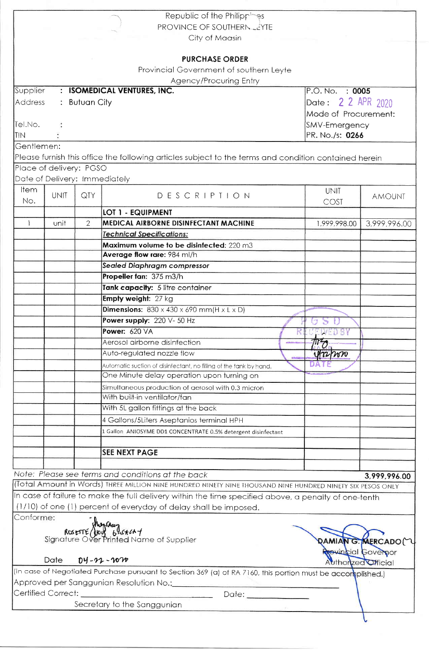|              |                               |                | Republic of the Philippines                                                                                 |                      |                           |  |
|--------------|-------------------------------|----------------|-------------------------------------------------------------------------------------------------------------|----------------------|---------------------------|--|
|              |                               |                | PROVINCE OF SOUTHERNLEYTE                                                                                   |                      |                           |  |
|              |                               |                | City of Maasin                                                                                              |                      |                           |  |
|              |                               |                |                                                                                                             |                      |                           |  |
|              |                               |                | <b>PURCHASE ORDER</b>                                                                                       |                      |                           |  |
|              |                               |                | Provincial Government of southern Leyte                                                                     |                      |                           |  |
| Supplier     | $\mathbf{r}$                  |                | <b>Agency/Procuring Entry</b><br><b>ISOMEDICAL VENTURES, INC.</b>                                           | P.O. No. : 0005      |                           |  |
| Address      |                               | : Butuan City  |                                                                                                             | Date: 2 2 APR 2020   |                           |  |
|              |                               |                |                                                                                                             |                      |                           |  |
| Tel.No.      |                               |                |                                                                                                             | Mode of Procurement: |                           |  |
| <b>TIN</b>   |                               |                | SMV-Emergency                                                                                               | PR. No./s: 0266      |                           |  |
| Gentlemen:   |                               |                |                                                                                                             |                      |                           |  |
|              |                               |                | Please furnish this office the following articles subject to the terms and condition contained herein       |                      |                           |  |
|              | Place of delivery: PGSO       |                |                                                                                                             |                      |                           |  |
|              | Date of Delivery: Immediately |                |                                                                                                             |                      |                           |  |
| ltem.        |                               |                |                                                                                                             | <b>UNIT</b>          |                           |  |
| No.          | <b>UNIT</b>                   | QTY            | DESCRIPTION                                                                                                 | COST                 | <b>AMOUNT</b>             |  |
|              |                               |                | <b>LOT 1 - EQUIPMENT</b>                                                                                    |                      |                           |  |
| $\mathbf{1}$ | unit                          | $\overline{2}$ | MEDICAL AIRBORNE DISINFECTANT MACHINE                                                                       | 1,999,998.00         | 3,999,996.00              |  |
|              |                               |                | <b>Technical Specifications:</b>                                                                            |                      |                           |  |
|              |                               |                | Maximum volume to be disinfected: 220 m3                                                                    |                      |                           |  |
|              |                               |                | Average flow rare: 984 ml/h                                                                                 |                      |                           |  |
|              |                               |                | Sealed Diaphragm compressor                                                                                 |                      |                           |  |
|              |                               |                | Propeller fan: 375 m3/h                                                                                     |                      |                           |  |
|              |                               |                | Tank capacity: 5 litre container                                                                            |                      |                           |  |
|              |                               |                | Empty weight: 27 kg                                                                                         |                      |                           |  |
|              |                               |                | <b>Dimensions:</b> $830 \times 430 \times 690$ mm(H $\times$ L $\times$ D)                                  |                      |                           |  |
|              |                               |                | Power supply: 220 V- 50 Hz                                                                                  |                      |                           |  |
|              |                               |                | Power: 620 VA                                                                                               | -17<br>WED BY        |                           |  |
|              |                               |                | Aerosol airborne disinfection                                                                               | $M_{\odot}$          |                           |  |
|              |                               |                | Auto-regulated nozzle flow                                                                                  | 472/100              |                           |  |
|              |                               |                | Automatic suction of disinfectant, no filling of the tank by hand.                                          |                      |                           |  |
|              |                               |                | One Minute delay operation upon turning on                                                                  |                      |                           |  |
|              |                               |                | Simultaneous production of aerosol with 0.3 micron                                                          |                      |                           |  |
|              |                               |                | With built-in ventilator/fan                                                                                |                      |                           |  |
|              |                               |                | With 5L gallon fittings at the back                                                                         |                      |                           |  |
|              |                               |                | 4 Gallons/5Liters Aseptanios terminal HPH                                                                   |                      |                           |  |
|              |                               |                |                                                                                                             |                      |                           |  |
|              |                               |                | 1 Gallon ANIOSYME DD1 CONCENTRATE 0.5% detergent disinfectant                                               |                      |                           |  |
|              |                               |                | <b>SEE NEXT PAGE</b>                                                                                        |                      |                           |  |
|              |                               |                |                                                                                                             |                      |                           |  |
|              |                               |                | Note: Please see terms and conditions at the back                                                           |                      |                           |  |
|              |                               |                | (Total Amount in Words) THREE MILLION NINE HUNDRED NINETY NINE THOUSAND NINE HUNDRED NINETY SIX PESOS ONLY  |                      | 3,999,996.00              |  |
|              |                               |                | In case of failure to make the full delivery within the time specified above, a penalty of one-tenth        |                      |                           |  |
|              |                               |                | (1/10) of one (1) percent of everyday of delay shall be imposed.                                            |                      |                           |  |
| Conforme:    |                               |                |                                                                                                             |                      |                           |  |
|              |                               |                |                                                                                                             |                      |                           |  |
|              |                               |                | rie:<br><b>RoserTé (loy 6: 6447</b><br>Signature Over Printed Name of Supplier                              |                      |                           |  |
|              |                               |                |                                                                                                             |                      | <b>QAMIAN G. MERCADO</b>  |  |
|              | Date                          |                | $D4 - 22 - 1070$                                                                                            | Authorized Official  | <b>revincial Governor</b> |  |
|              |                               |                | (In case of Negotiated Purchase pursuant to Section 369 (a) of RA 7160, this portion must be accomplished.) |                      |                           |  |
|              |                               |                | Approved per Sanggunian Resolution No.:                                                                     |                      |                           |  |
|              | Certified Correct: _          |                |                                                                                                             |                      |                           |  |
|              |                               |                | Secretary to the Sanggunian                                                                                 |                      |                           |  |
|              |                               |                |                                                                                                             |                      |                           |  |
|              |                               |                |                                                                                                             |                      |                           |  |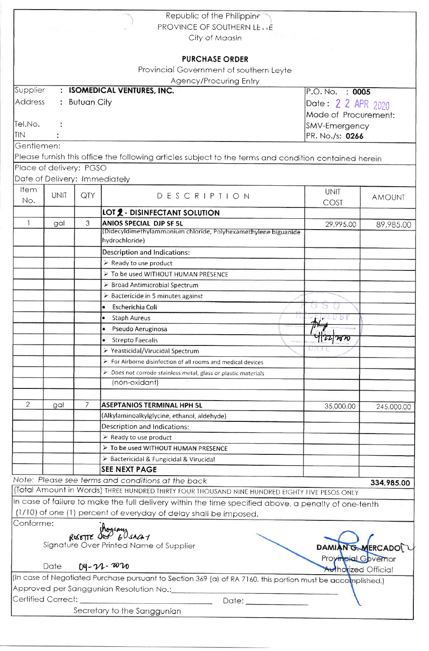|                                                    |                               |                    | Republic of the Philippine                                                                                                                  |                            |               |  |  |  |
|----------------------------------------------------|-------------------------------|--------------------|---------------------------------------------------------------------------------------------------------------------------------------------|----------------------------|---------------|--|--|--|
| <b>PROVINCE OF SOUTHERN LETTE</b>                  |                               |                    |                                                                                                                                             |                            |               |  |  |  |
| City of Maasin                                     |                               |                    |                                                                                                                                             |                            |               |  |  |  |
|                                                    |                               |                    |                                                                                                                                             |                            |               |  |  |  |
|                                                    |                               |                    | <b>PURCHASE ORDER</b>                                                                                                                       |                            |               |  |  |  |
|                                                    |                               |                    | Provincial Government of southern Leyte                                                                                                     |                            |               |  |  |  |
|                                                    |                               |                    | <b>Agency/Procuring Entry</b>                                                                                                               |                            |               |  |  |  |
| Supplier                                           | $\mathcal{I}^{\mathcal{I}}$ . |                    | <b>ISOMEDICAL VENTURES, INC.</b>                                                                                                            | P.O. No. : 0005            |               |  |  |  |
| <b>Address</b>                                     | $\ddot{\phantom{a}}$          | <b>Butuan City</b> |                                                                                                                                             |                            |               |  |  |  |
|                                                    |                               |                    |                                                                                                                                             | Date: 2 2 APR 2020         |               |  |  |  |
|                                                    |                               |                    |                                                                                                                                             | Mode of Procurement:       |               |  |  |  |
| Tel.No.                                            |                               |                    |                                                                                                                                             | SMV-Emergency              |               |  |  |  |
| <b>TIN</b>                                         |                               |                    |                                                                                                                                             | PR. No./s: 0266            |               |  |  |  |
| Gentlemen:                                         |                               |                    |                                                                                                                                             |                            |               |  |  |  |
|                                                    |                               |                    | Please furnish this office the following articles subject to the terms and condition contained herein                                       |                            |               |  |  |  |
|                                                    | Place of delivery: PGSO       |                    |                                                                                                                                             |                            |               |  |  |  |
|                                                    | Date of Delivery: Immediately |                    |                                                                                                                                             |                            |               |  |  |  |
| Item                                               | <b>UNIT</b>                   | QTY                | DESCRIPTION                                                                                                                                 | <b>UNIT</b>                | <b>AMOUNT</b> |  |  |  |
| No.                                                |                               |                    |                                                                                                                                             | COST                       |               |  |  |  |
|                                                    |                               |                    | <b>LOT 2 - DISINFECTANT SOLUTION</b>                                                                                                        |                            |               |  |  |  |
| $\mathbf{1}$                                       | gal                           | 3                  | <b>ANIOS SPECIAL DJP SF 5L</b>                                                                                                              | 29,995.00                  | 89,985.00     |  |  |  |
|                                                    |                               |                    | (Didecyldimethylammonium chloride, Polyhexamethylene biguanide                                                                              |                            |               |  |  |  |
|                                                    |                               |                    | hydrochloride)                                                                                                                              |                            |               |  |  |  |
|                                                    |                               |                    | <b>Description and Indications:</b>                                                                                                         |                            |               |  |  |  |
|                                                    |                               |                    | $\triangleright$ Ready to use product                                                                                                       |                            |               |  |  |  |
|                                                    |                               |                    | > To be used WITHOUT HUMAN PRESENCE                                                                                                         |                            |               |  |  |  |
|                                                    |                               |                    | > Broad Antimicrobial Spectrum                                                                                                              |                            |               |  |  |  |
|                                                    |                               |                    | > Bactericide in 5 minutes against                                                                                                          |                            |               |  |  |  |
|                                                    |                               |                    | Escherichia Coli<br>$\bullet$                                                                                                               |                            |               |  |  |  |
|                                                    |                               |                    | • Staph Aureus                                                                                                                              | $+$                        |               |  |  |  |
|                                                    |                               |                    | Pseudo Aeruginosa                                                                                                                           |                            |               |  |  |  |
|                                                    |                               |                    | $\bullet$<br><b>Strepto Faecalis</b>                                                                                                        | 112212820                  |               |  |  |  |
|                                                    |                               |                    | ▶ Yeasticidal/Virucidal Spectrum                                                                                                            |                            |               |  |  |  |
|                                                    |                               |                    | $\triangleright$ For Airborne disinfection of all rooms and medical devices                                                                 |                            |               |  |  |  |
|                                                    |                               |                    | > Does not corrode stainless metal, glass or plastic materials                                                                              |                            |               |  |  |  |
|                                                    |                               |                    | (non-oxidant)                                                                                                                               |                            |               |  |  |  |
|                                                    |                               |                    |                                                                                                                                             |                            |               |  |  |  |
| $\overline{2}$                                     | gal                           | 7                  | <b>ASEPTANIOS TERMINAL HPH 5L</b>                                                                                                           |                            |               |  |  |  |
|                                                    |                               |                    | (Alkylaminoalkylglycine, ethanol, aldehyde)                                                                                                 | 35,000.00                  | 245,000.00    |  |  |  |
|                                                    |                               |                    | Description and Indications:                                                                                                                |                            |               |  |  |  |
|                                                    |                               |                    | $\triangleright$ Ready to use product                                                                                                       |                            |               |  |  |  |
|                                                    |                               |                    | > To be used WITHOUT HUMAN PRESENCE                                                                                                         |                            |               |  |  |  |
|                                                    |                               |                    |                                                                                                                                             |                            |               |  |  |  |
|                                                    |                               |                    | > Bactericidal & Fungicidal & Virucidal<br><b>SEE NEXT PAGE</b>                                                                             |                            |               |  |  |  |
|                                                    |                               |                    |                                                                                                                                             |                            |               |  |  |  |
|                                                    |                               |                    | Note: Please see terms and conditions at the back                                                                                           |                            | 334,985.00    |  |  |  |
|                                                    |                               |                    | (Total Amount in Words) THREE HUNDRED THIRTY FOUR THOUSAND NINE HUNDRED EIGHTY FIVE PESOS ONLY                                              |                            |               |  |  |  |
|                                                    |                               |                    | In case of failure to make the full delivery within the time specified above, a penalty of one-tenth                                        |                            |               |  |  |  |
|                                                    |                               |                    | (1/10) of one (1) percent of everyday of delay shall be imposed.                                                                            |                            |               |  |  |  |
| Conforme:                                          |                               |                    |                                                                                                                                             |                            |               |  |  |  |
|                                                    |                               |                    | RESETTE SOUS 60 SACA7                                                                                                                       |                            |               |  |  |  |
|                                                    |                               |                    | Signature Over Printed Name of Supplier                                                                                                     | DAMIANG.MERCADO            |               |  |  |  |
| Provincial Governor                                |                               |                    |                                                                                                                                             |                            |               |  |  |  |
|                                                    | Date                          |                    | $04 - 22 - 2020$                                                                                                                            | <b>Authorized Official</b> |               |  |  |  |
|                                                    |                               |                    | (In case of Negotiated Purchase pursuant to Section 369 (a) of RA 7160, this portion must be accomplished.)                                 |                            |               |  |  |  |
| Approved per Sanggunian Resolution No.:___________ |                               |                    |                                                                                                                                             |                            |               |  |  |  |
| Certified Correct:                                 |                               |                    | Date: <b>Date:</b><br><u> 1980 - Andrea Stadt British, amerikan bestean ing disebut di parti di parti di parti di parti di parti di par</u> |                            |               |  |  |  |
|                                                    |                               |                    | Secretary to the Sanggunian                                                                                                                 |                            |               |  |  |  |
|                                                    |                               |                    |                                                                                                                                             |                            |               |  |  |  |